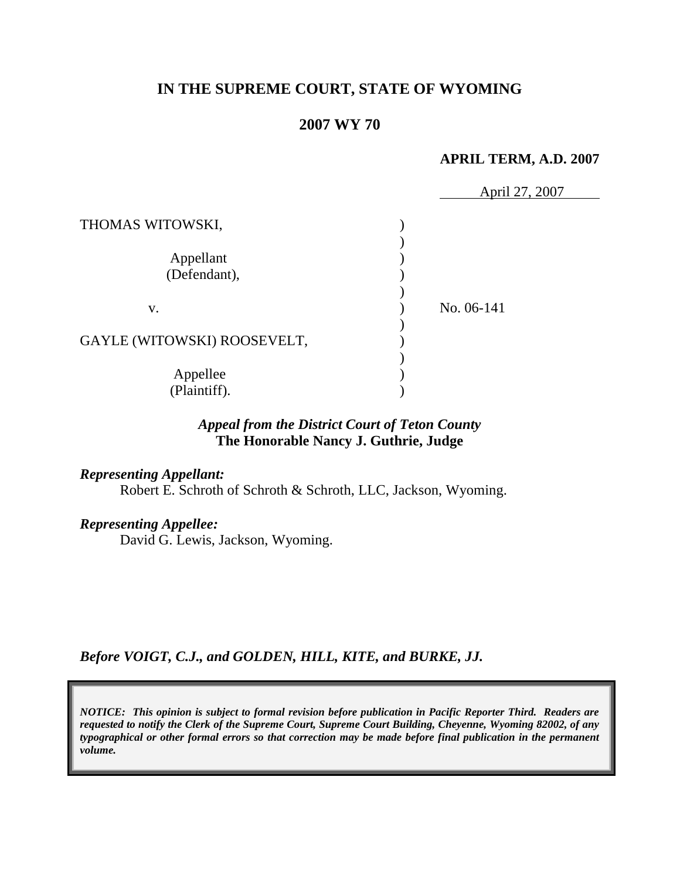## **IN THE SUPREME COURT, STATE OF WYOMING**

## **2007 WY 70**

#### **APRIL TERM, A.D. 2007**

|                             | April 27, 2007 |
|-----------------------------|----------------|
| THOMAS WITOWSKI,            |                |
| Appellant<br>(Defendant),   |                |
| V.                          | No. 06-141     |
| GAYLE (WITOWSKI) ROOSEVELT, |                |
| Appellee<br>(Plaintiff).    |                |

# *Appeal from the District Court of Teton County* **The Honorable Nancy J. Guthrie, Judge**

## *Representing Appellant:*

Robert E. Schroth of Schroth & Schroth, LLC, Jackson, Wyoming.

## *Representing Appellee:*

David G. Lewis, Jackson, Wyoming.

*Before VOIGT, C.J., and GOLDEN, HILL, KITE, and BURKE, JJ.*

*NOTICE: This opinion is subject to formal revision before publication in Pacific Reporter Third. Readers are requested to notify the Clerk of the Supreme Court, Supreme Court Building, Cheyenne, Wyoming 82002, of any typographical or other formal errors so that correction may be made before final publication in the permanent volume.*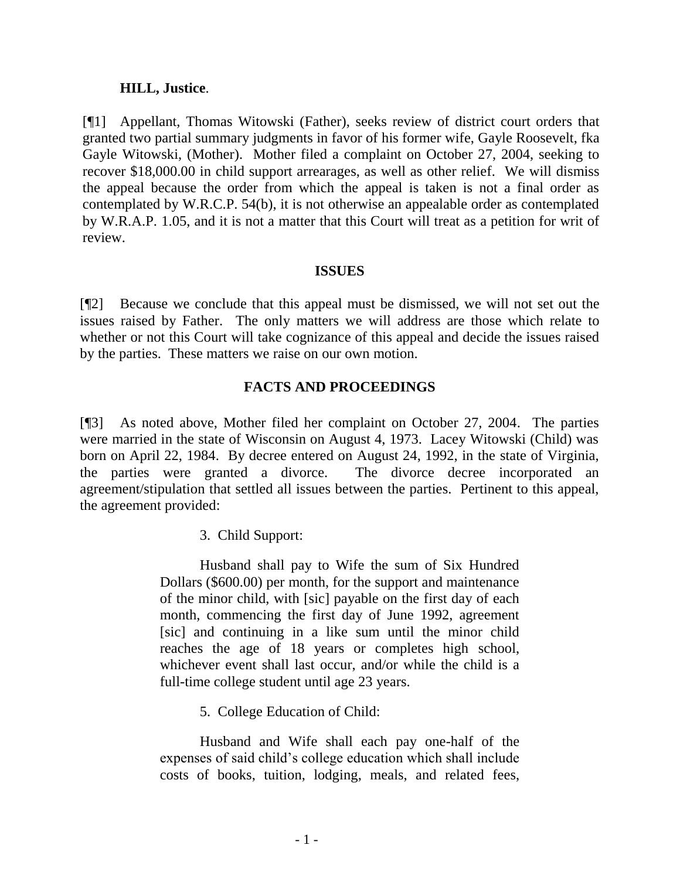#### **HILL, Justice**.

[¶1] Appellant, Thomas Witowski (Father), seeks review of district court orders that granted two partial summary judgments in favor of his former wife, Gayle Roosevelt, fka Gayle Witowski, (Mother). Mother filed a complaint on October 27, 2004, seeking to recover \$18,000.00 in child support arrearages, as well as other relief. We will dismiss the appeal because the order from which the appeal is taken is not a final order as contemplated by W.R.C.P. 54(b), it is not otherwise an appealable order as contemplated by W.R.A.P. 1.05, and it is not a matter that this Court will treat as a petition for writ of review.

#### **ISSUES**

[¶2] Because we conclude that this appeal must be dismissed, we will not set out the issues raised by Father. The only matters we will address are those which relate to whether or not this Court will take cognizance of this appeal and decide the issues raised by the parties. These matters we raise on our own motion.

## **FACTS AND PROCEEDINGS**

[¶3] As noted above, Mother filed her complaint on October 27, 2004. The parties were married in the state of Wisconsin on August 4, 1973. Lacey Witowski (Child) was born on April 22, 1984. By decree entered on August 24, 1992, in the state of Virginia, the parties were granted a divorce. The divorce decree incorporated an agreement/stipulation that settled all issues between the parties. Pertinent to this appeal, the agreement provided:

### 3. Child Support:

Husband shall pay to Wife the sum of Six Hundred Dollars (\$600.00) per month, for the support and maintenance of the minor child, with [sic] payable on the first day of each month, commencing the first day of June 1992, agreement [sic] and continuing in a like sum until the minor child reaches the age of 18 years or completes high school, whichever event shall last occur, and/or while the child is a full-time college student until age 23 years.

5. College Education of Child:

Husband and Wife shall each pay one-half of the expenses of said child's college education which shall include costs of books, tuition, lodging, meals, and related fees,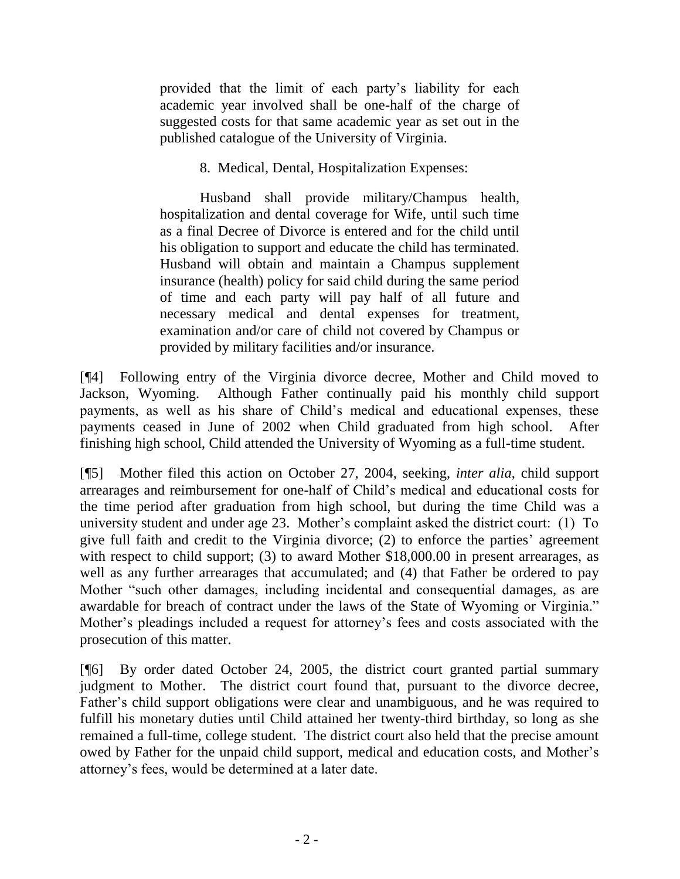provided that the limit of each party's liability for each academic year involved shall be one-half of the charge of suggested costs for that same academic year as set out in the published catalogue of the University of Virginia.

8. Medical, Dental, Hospitalization Expenses:

Husband shall provide military/Champus health, hospitalization and dental coverage for Wife, until such time as a final Decree of Divorce is entered and for the child until his obligation to support and educate the child has terminated. Husband will obtain and maintain a Champus supplement insurance (health) policy for said child during the same period of time and each party will pay half of all future and necessary medical and dental expenses for treatment, examination and/or care of child not covered by Champus or provided by military facilities and/or insurance.

[¶4] Following entry of the Virginia divorce decree, Mother and Child moved to Jackson, Wyoming. Although Father continually paid his monthly child support payments, as well as his share of Child's medical and educational expenses, these payments ceased in June of 2002 when Child graduated from high school. After finishing high school, Child attended the University of Wyoming as a full-time student.

[¶5] Mother filed this action on October 27, 2004, seeking, *inter alia*, child support arrearages and reimbursement for one-half of Child's medical and educational costs for the time period after graduation from high school, but during the time Child was a university student and under age 23. Mother's complaint asked the district court: (1) To give full faith and credit to the Virginia divorce; (2) to enforce the parties' agreement with respect to child support; (3) to award Mother \$18,000.00 in present arrearages, as well as any further arrearages that accumulated; and (4) that Father be ordered to pay Mother "such other damages, including incidental and consequential damages, as are awardable for breach of contract under the laws of the State of Wyoming or Virginia." Mother's pleadings included a request for attorney's fees and costs associated with the prosecution of this matter.

[¶6] By order dated October 24, 2005, the district court granted partial summary judgment to Mother. The district court found that, pursuant to the divorce decree, Father's child support obligations were clear and unambiguous, and he was required to fulfill his monetary duties until Child attained her twenty-third birthday, so long as she remained a full-time, college student. The district court also held that the precise amount owed by Father for the unpaid child support, medical and education costs, and Mother's attorney's fees, would be determined at a later date.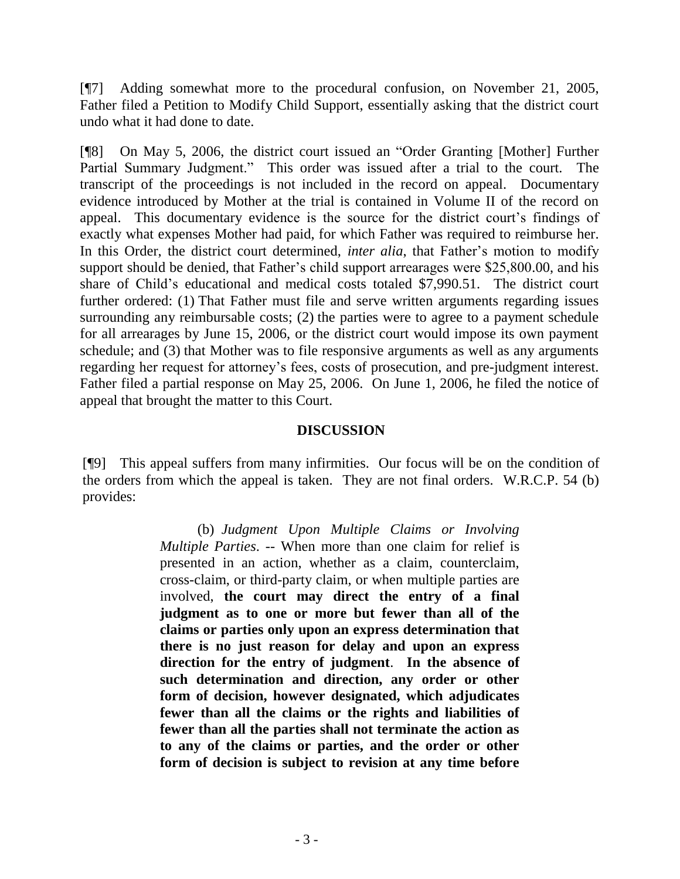[¶7] Adding somewhat more to the procedural confusion, on November 21, 2005, Father filed a Petition to Modify Child Support, essentially asking that the district court undo what it had done to date.

[¶8] On May 5, 2006, the district court issued an "Order Granting [Mother] Further Partial Summary Judgment." This order was issued after a trial to the court. The transcript of the proceedings is not included in the record on appeal. Documentary evidence introduced by Mother at the trial is contained in Volume II of the record on appeal. This documentary evidence is the source for the district court's findings of exactly what expenses Mother had paid, for which Father was required to reimburse her. In this Order, the district court determined, *inter alia*, that Father's motion to modify support should be denied, that Father's child support arrearages were \$25,800.00, and his share of Child's educational and medical costs totaled \$7,990.51. The district court further ordered: (1) That Father must file and serve written arguments regarding issues surrounding any reimbursable costs; (2) the parties were to agree to a payment schedule for all arrearages by June 15, 2006, or the district court would impose its own payment schedule; and (3) that Mother was to file responsive arguments as well as any arguments regarding her request for attorney's fees, costs of prosecution, and pre-judgment interest. Father filed a partial response on May 25, 2006. On June 1, 2006, he filed the notice of appeal that brought the matter to this Court.

### **DISCUSSION**

[¶9] This appeal suffers from many infirmities. Our focus will be on the condition of the orders from which the appeal is taken. They are not final orders. W.R.C.P. 54 (b) provides:

> (b) *Judgment Upon Multiple Claims or Involving Multiple Parties*. -- When more than one claim for relief is presented in an action, whether as a claim, counterclaim, cross-claim, or third-party claim, or when multiple parties are involved, **the court may direct the entry of a final judgment as to one or more but fewer than all of the claims or parties only upon an express determination that there is no just reason for delay and upon an express direction for the entry of judgment**. **In the absence of such determination and direction, any order or other form of decision, however designated, which adjudicates fewer than all the claims or the rights and liabilities of fewer than all the parties shall not terminate the action as to any of the claims or parties, and the order or other form of decision is subject to revision at any time before**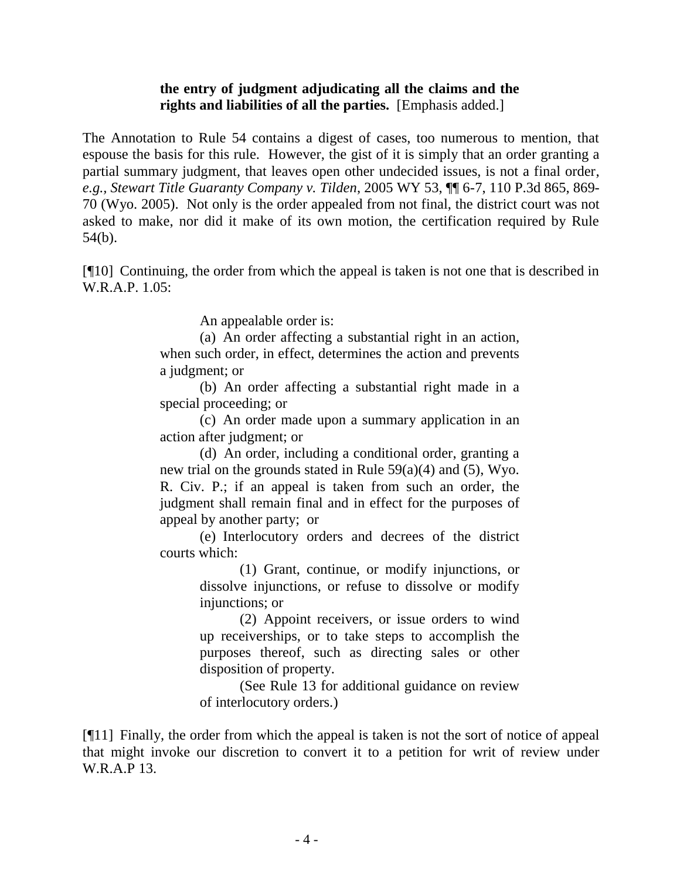## **the entry of judgment adjudicating all the claims and the rights and liabilities of all the parties.** [Emphasis added.]

The Annotation to Rule 54 contains a digest of cases, too numerous to mention, that espouse the basis for this rule. However, the gist of it is simply that an order granting a partial summary judgment, that leaves open other undecided issues, is not a final order, *e.g., Stewart Title Guaranty Company v. Tilden*, 2005 WY 53, ¶¶ 6-7, 110 P.3d 865, 869- 70 (Wyo. 2005). Not only is the order appealed from not final, the district court was not asked to make, nor did it make of its own motion, the certification required by Rule 54(b).

[¶10] Continuing, the order from which the appeal is taken is not one that is described in W.R.A.P. 1.05:

An appealable order is:

(a) An order affecting a substantial right in an action, when such order, in effect, determines the action and prevents a judgment; or

(b) An order affecting a substantial right made in a special proceeding; or

(c) An order made upon a summary application in an action after judgment; or

(d) An order, including a conditional order, granting a new trial on the grounds stated in Rule 59(a)(4) and (5), Wyo. R. Civ. P.; if an appeal is taken from such an order, the judgment shall remain final and in effect for the purposes of appeal by another party; or

(e) Interlocutory orders and decrees of the district courts which:

> (1) Grant, continue, or modify injunctions, or dissolve injunctions, or refuse to dissolve or modify injunctions; or

> (2) Appoint receivers, or issue orders to wind up receiverships, or to take steps to accomplish the purposes thereof, such as directing sales or other disposition of property.

> (See Rule 13 for additional guidance on review of interlocutory orders.)

[¶11] Finally, the order from which the appeal is taken is not the sort of notice of appeal that might invoke our discretion to convert it to a petition for writ of review under W.R.A.P 13.